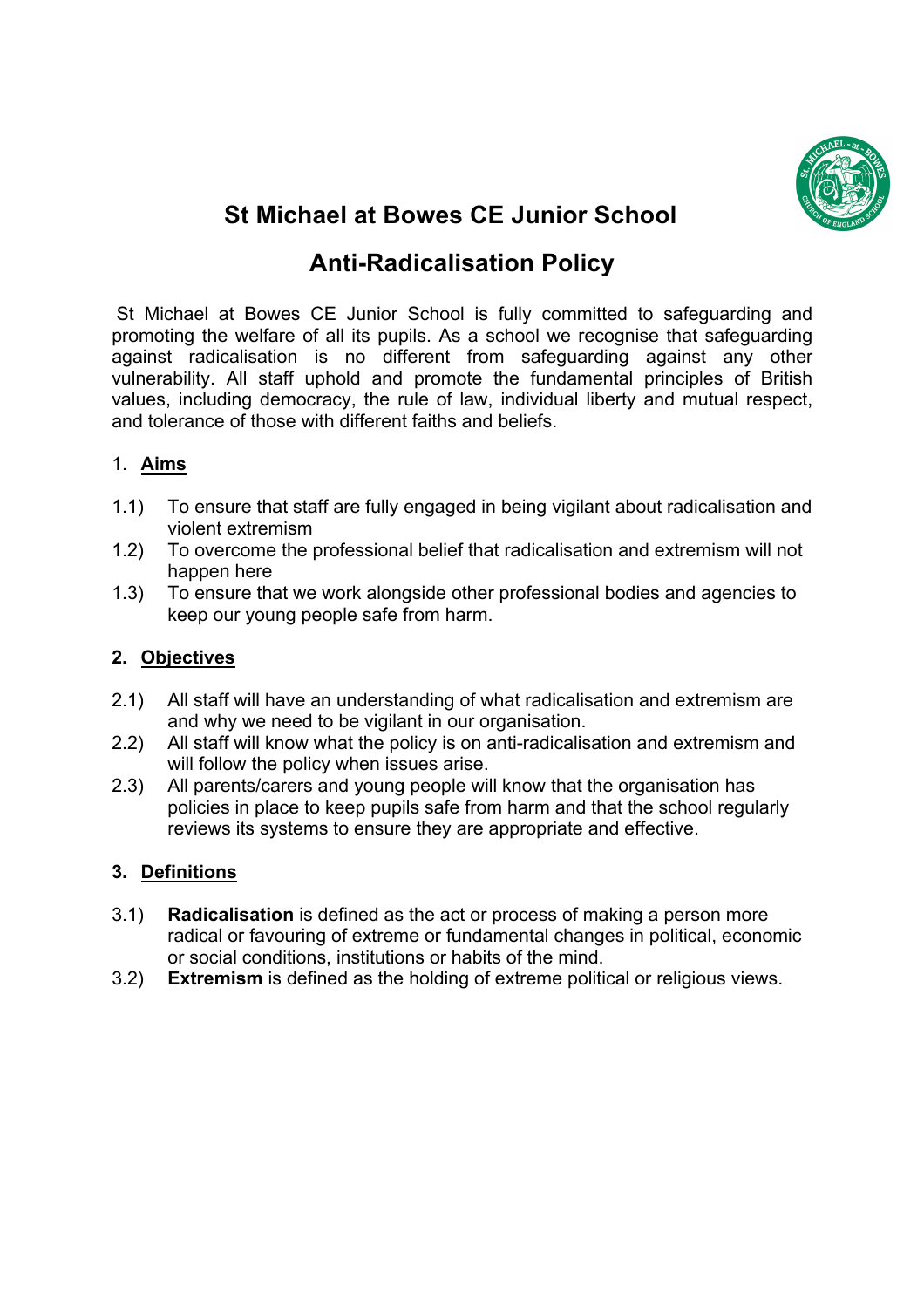

# **St Michael at Bowes CE Junior School**

# **Anti-Radicalisation Policy**

St Michael at Bowes CE Junior School is fully committed to safeguarding and promoting the welfare of all its pupils. As a school we recognise that safeguarding against radicalisation is no different from safeguarding against any other vulnerability. All staff uphold and promote the fundamental principles of British values, including democracy, the rule of law, individual liberty and mutual respect, and tolerance of those with different faiths and beliefs.

## 1. **Aims**

- 1.1) To ensure that staff are fully engaged in being vigilant about radicalisation and violent extremism
- 1.2) To overcome the professional belief that radicalisation and extremism will not happen here
- 1.3) To ensure that we work alongside other professional bodies and agencies to keep our young people safe from harm.

## **2. Objectives**

- 2.1) All staff will have an understanding of what radicalisation and extremism are and why we need to be vigilant in our organisation.
- 2.2) All staff will know what the policy is on anti-radicalisation and extremism and will follow the policy when issues arise.
- 2.3) All parents/carers and young people will know that the organisation has policies in place to keep pupils safe from harm and that the school regularly reviews its systems to ensure they are appropriate and effective.

## **3. Definitions**

- 3.1) **Radicalisation** is defined as the act or process of making a person more radical or favouring of extreme or fundamental changes in political, economic or social conditions, institutions or habits of the mind.
- 3.2) **Extremism** is defined as the holding of extreme political or religious views.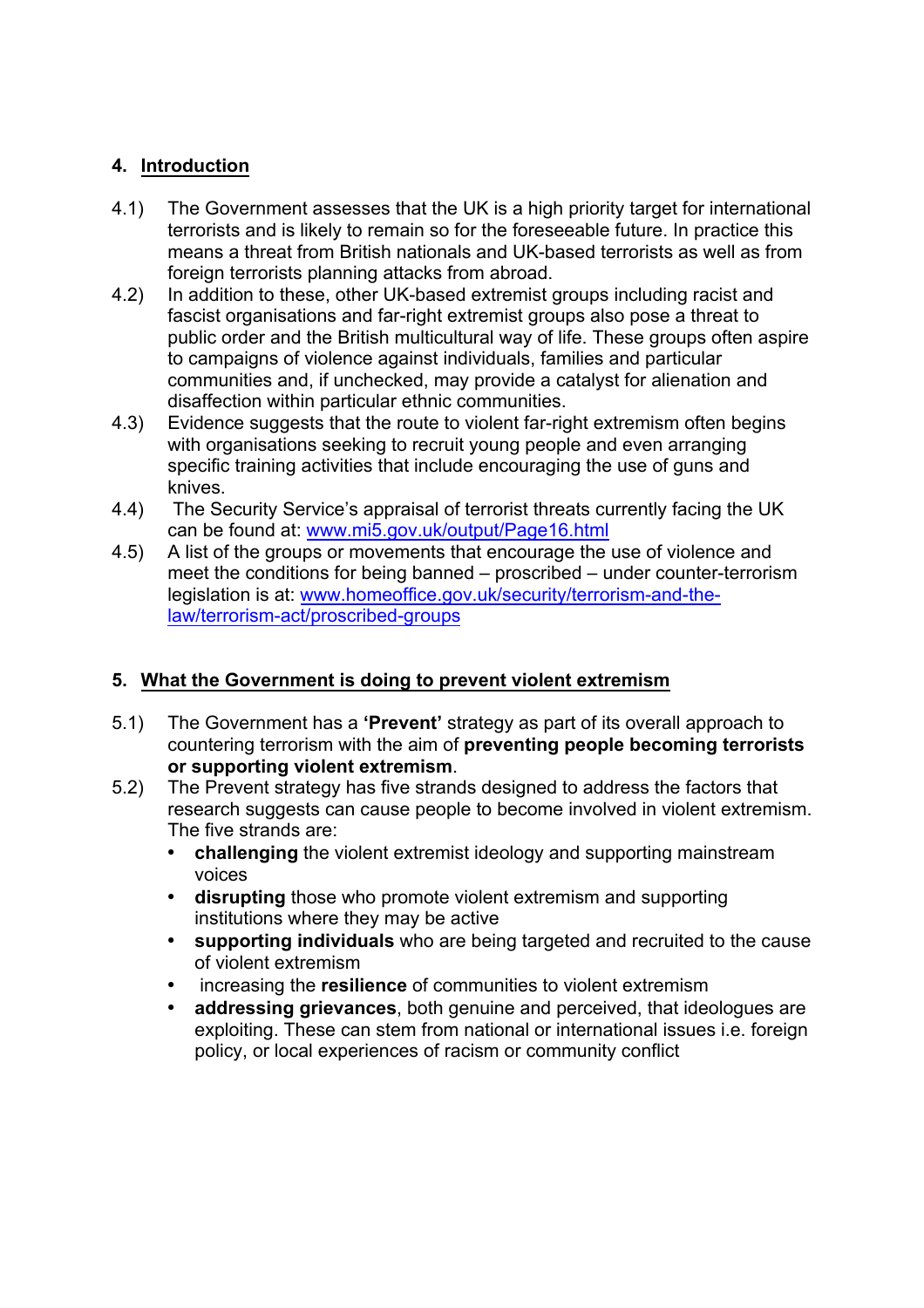### **4. Introduction**

- 4.1) The Government assesses that the UK is a high priority target for international terrorists and is likely to remain so for the foreseeable future. In practice this means a threat from British nationals and UK-based terrorists as well as from foreign terrorists planning attacks from abroad.
- 4.2) In addition to these, other UK-based extremist groups including racist and fascist organisations and far-right extremist groups also pose a threat to public order and the British multicultural way of life. These groups often aspire to campaigns of violence against individuals, families and particular communities and, if unchecked, may provide a catalyst for alienation and disaffection within particular ethnic communities.
- 4.3) Evidence suggests that the route to violent far-right extremism often begins with organisations seeking to recruit young people and even arranging specific training activities that include encouraging the use of guns and knives.
- 4.4) The Security Service's appraisal of terrorist threats currently facing the UK can be found at: www.mi5.gov.uk/output/Page16.html
- 4.5) A list of the groups or movements that encourage the use of violence and meet the conditions for being banned – proscribed – under counter-terrorism legislation is at: www.homeoffice.gov.uk/security/terrorism-and-thelaw/terrorism-act/proscribed-groups

### **5. What the Government is doing to prevent violent extremism**

- 5.1) The Government has a **'Prevent'** strategy as part of its overall approach to countering terrorism with the aim of **preventing people becoming terrorists or supporting violent extremism**.
- 5.2) The Prevent strategy has five strands designed to address the factors that research suggests can cause people to become involved in violent extremism. The five strands are:
	- **challenging** the violent extremist ideology and supporting mainstream voices
	- **disrupting** those who promote violent extremism and supporting institutions where they may be active
	- **supporting individuals** who are being targeted and recruited to the cause of violent extremism
	- increasing the **resilience** of communities to violent extremism
	- **addressing grievances**, both genuine and perceived, that ideologues are exploiting. These can stem from national or international issues i.e. foreign policy, or local experiences of racism or community conflict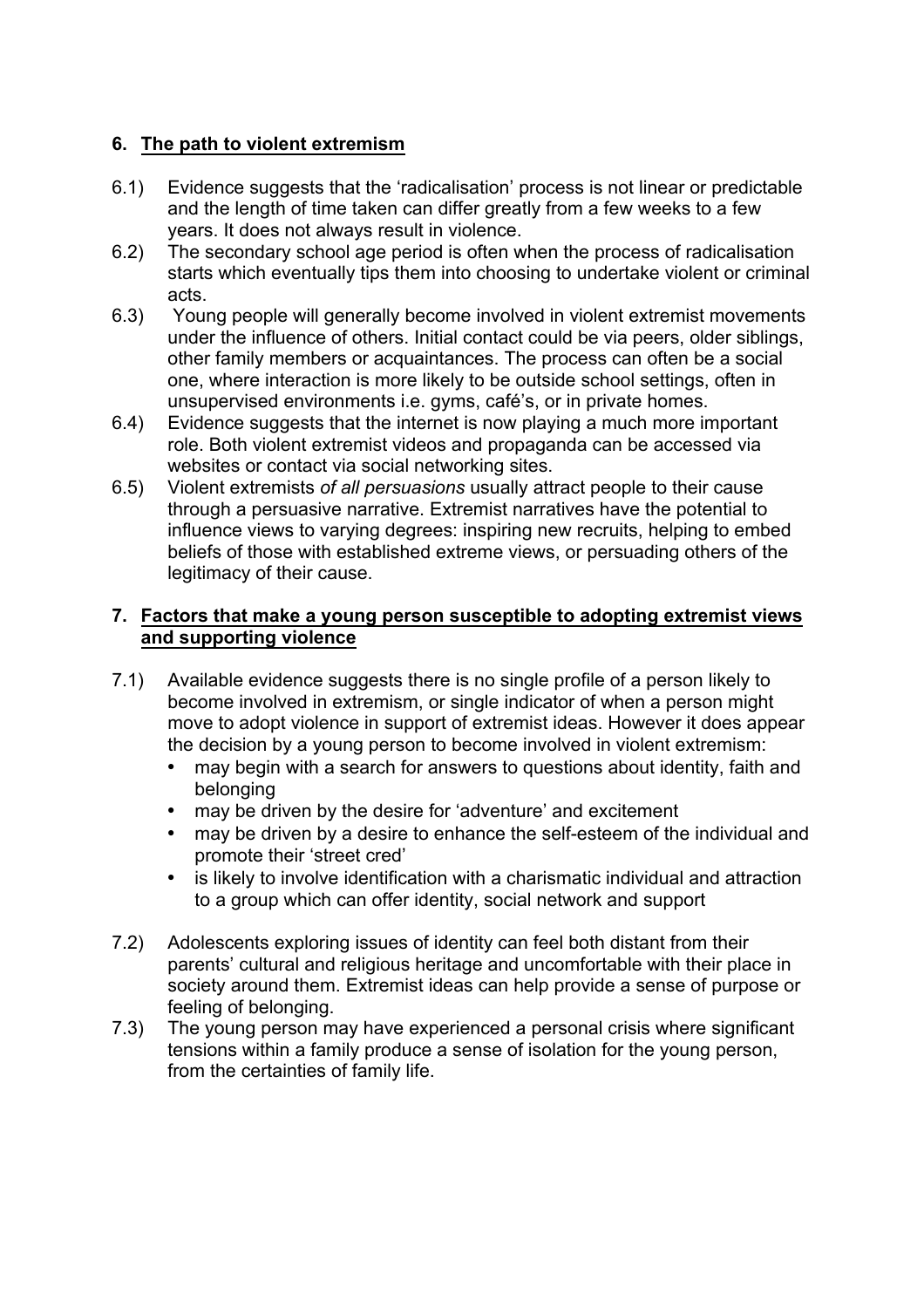### **6. The path to violent extremism**

- 6.1) Evidence suggests that the 'radicalisation' process is not linear or predictable and the length of time taken can differ greatly from a few weeks to a few years. It does not always result in violence.
- 6.2) The secondary school age period is often when the process of radicalisation starts which eventually tips them into choosing to undertake violent or criminal acts.
- 6.3) Young people will generally become involved in violent extremist movements under the influence of others. Initial contact could be via peers, older siblings, other family members or acquaintances. The process can often be a social one, where interaction is more likely to be outside school settings, often in unsupervised environments i.e. gyms, café's, or in private homes.
- 6.4) Evidence suggests that the internet is now playing a much more important role. Both violent extremist videos and propaganda can be accessed via websites or contact via social networking sites.
- 6.5) Violent extremists *of all persuasions* usually attract people to their cause through a persuasive narrative. Extremist narratives have the potential to influence views to varying degrees: inspiring new recruits, helping to embed beliefs of those with established extreme views, or persuading others of the legitimacy of their cause.

### **7. Factors that make a young person susceptible to adopting extremist views and supporting violence**

- 7.1) Available evidence suggests there is no single profile of a person likely to become involved in extremism, or single indicator of when a person might move to adopt violence in support of extremist ideas. However it does appear the decision by a young person to become involved in violent extremism:
	- may begin with a search for answers to questions about identity, faith and belonging
	- may be driven by the desire for 'adventure' and excitement
	- may be driven by a desire to enhance the self-esteem of the individual and promote their 'street cred'
	- is likely to involve identification with a charismatic individual and attraction to a group which can offer identity, social network and support
- 7.2) Adolescents exploring issues of identity can feel both distant from their parents' cultural and religious heritage and uncomfortable with their place in society around them. Extremist ideas can help provide a sense of purpose or feeling of belonging.
- 7.3) The young person may have experienced a personal crisis where significant tensions within a family produce a sense of isolation for the young person, from the certainties of family life.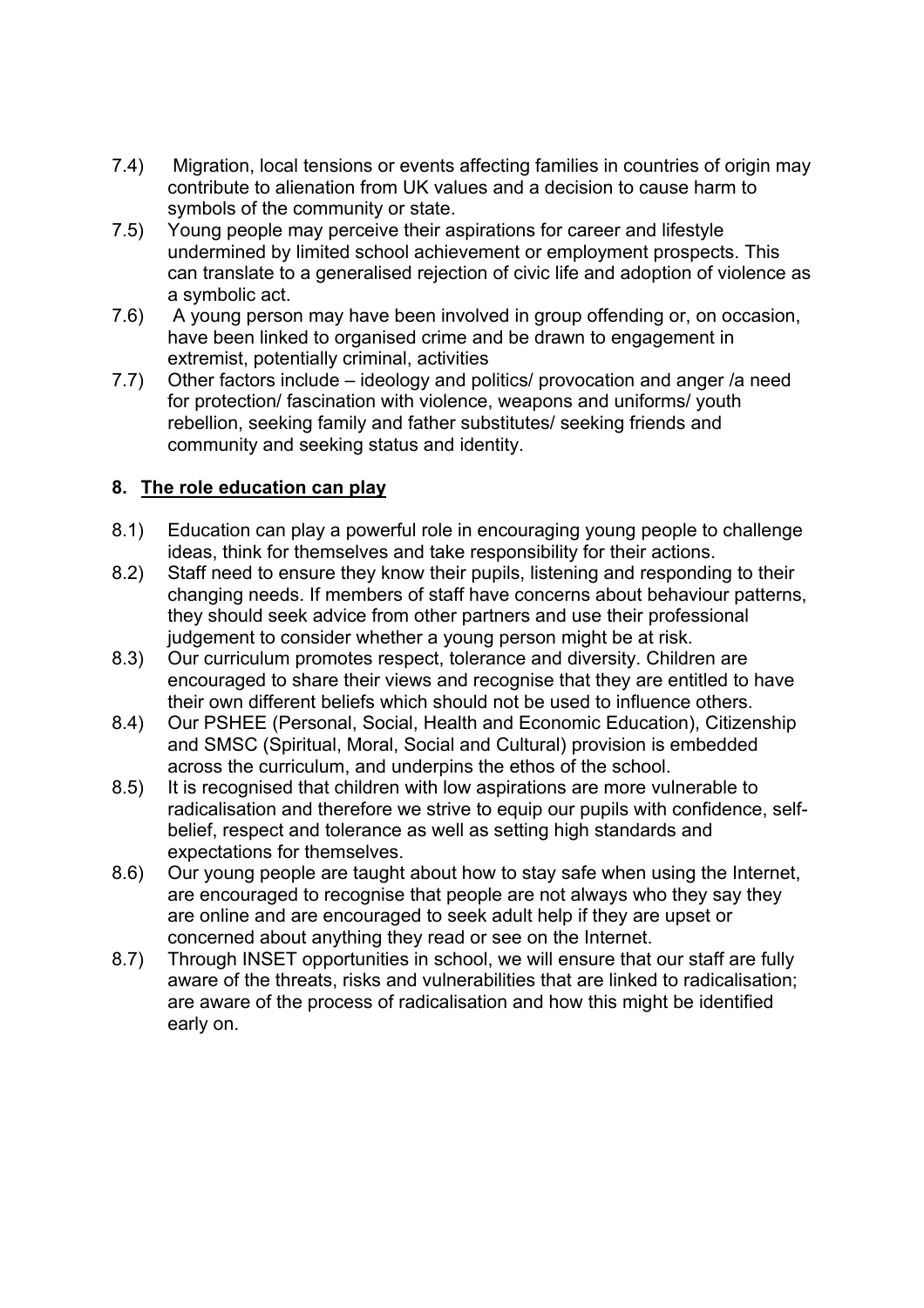- 7.4) Migration, local tensions or events affecting families in countries of origin may contribute to alienation from UK values and a decision to cause harm to symbols of the community or state.
- 7.5) Young people may perceive their aspirations for career and lifestyle undermined by limited school achievement or employment prospects. This can translate to a generalised rejection of civic life and adoption of violence as a symbolic act.
- 7.6) A young person may have been involved in group offending or, on occasion, have been linked to organised crime and be drawn to engagement in extremist, potentially criminal, activities
- 7.7) Other factors include ideology and politics/ provocation and anger /a need for protection/ fascination with violence, weapons and uniforms/ youth rebellion, seeking family and father substitutes/ seeking friends and community and seeking status and identity.

### **8. The role education can play**

- 8.1) Education can play a powerful role in encouraging young people to challenge ideas, think for themselves and take responsibility for their actions.
- 8.2) Staff need to ensure they know their pupils, listening and responding to their changing needs. If members of staff have concerns about behaviour patterns, they should seek advice from other partners and use their professional judgement to consider whether a young person might be at risk.
- 8.3) Our curriculum promotes respect, tolerance and diversity. Children are encouraged to share their views and recognise that they are entitled to have their own different beliefs which should not be used to influence others.
- 8.4) Our PSHEE (Personal, Social, Health and Economic Education), Citizenship and SMSC (Spiritual, Moral, Social and Cultural) provision is embedded across the curriculum, and underpins the ethos of the school.
- 8.5) It is recognised that children with low aspirations are more vulnerable to radicalisation and therefore we strive to equip our pupils with confidence, selfbelief, respect and tolerance as well as setting high standards and expectations for themselves.
- 8.6) Our young people are taught about how to stay safe when using the Internet, are encouraged to recognise that people are not always who they say they are online and are encouraged to seek adult help if they are upset or concerned about anything they read or see on the Internet.
- 8.7) Through INSET opportunities in school, we will ensure that our staff are fully aware of the threats, risks and vulnerabilities that are linked to radicalisation; are aware of the process of radicalisation and how this might be identified early on.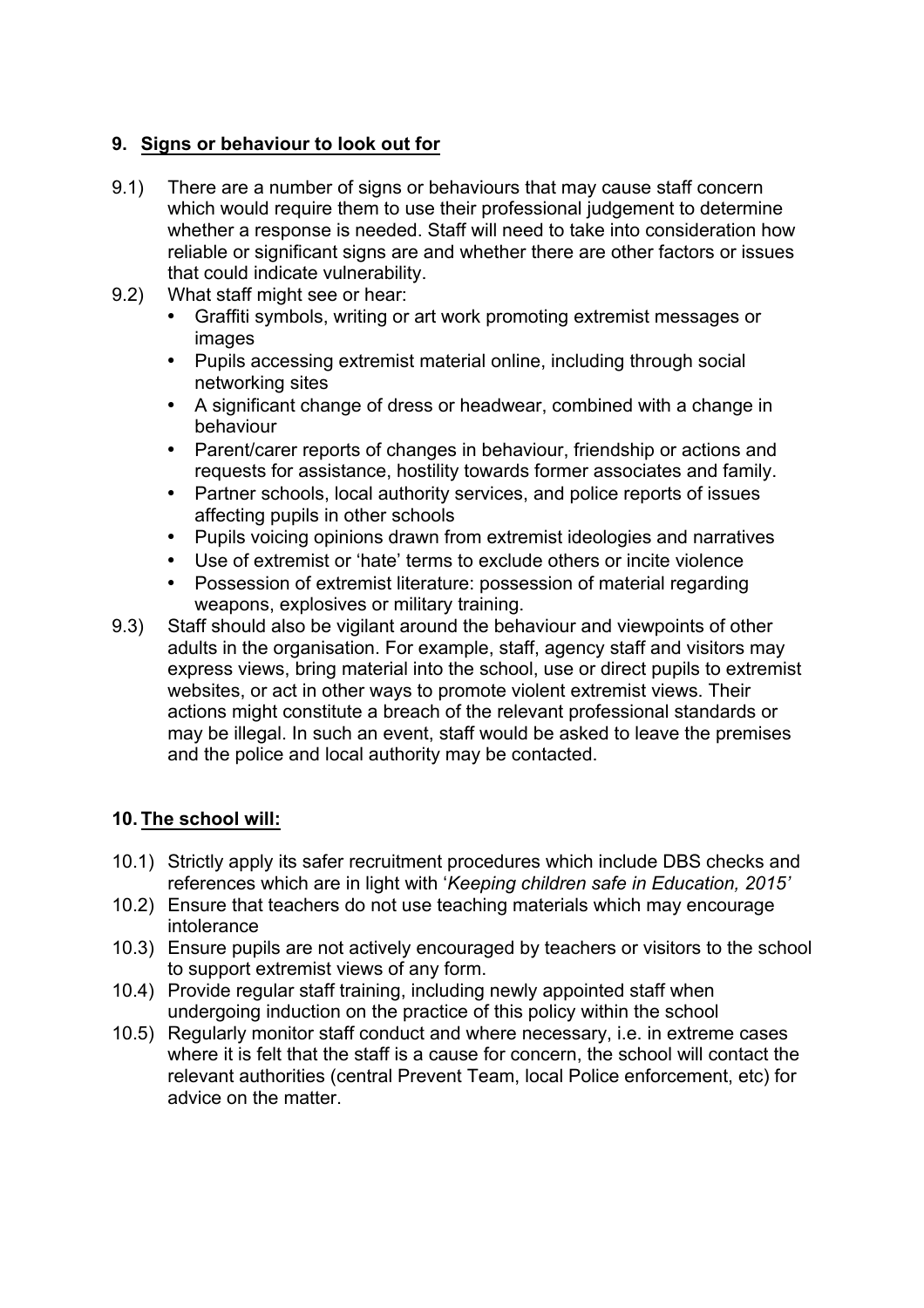### **9. Signs or behaviour to look out for**

- 9.1) There are a number of signs or behaviours that may cause staff concern which would require them to use their professional judgement to determine whether a response is needed. Staff will need to take into consideration how reliable or significant signs are and whether there are other factors or issues that could indicate vulnerability.
- 9.2) What staff might see or hear:
	- Graffiti symbols, writing or art work promoting extremist messages or images
	- Pupils accessing extremist material online, including through social networking sites
	- A significant change of dress or headwear, combined with a change in behaviour
	- Parent/carer reports of changes in behaviour, friendship or actions and requests for assistance, hostility towards former associates and family.
	- Partner schools, local authority services, and police reports of issues affecting pupils in other schools
	- Pupils voicing opinions drawn from extremist ideologies and narratives
	- Use of extremist or 'hate' terms to exclude others or incite violence
	- Possession of extremist literature: possession of material regarding weapons, explosives or military training.
- 9.3) Staff should also be vigilant around the behaviour and viewpoints of other adults in the organisation. For example, staff, agency staff and visitors may express views, bring material into the school, use or direct pupils to extremist websites, or act in other ways to promote violent extremist views. Their actions might constitute a breach of the relevant professional standards or may be illegal. In such an event, staff would be asked to leave the premises and the police and local authority may be contacted.

### **10. The school will:**

- 10.1) Strictly apply its safer recruitment procedures which include DBS checks and references which are in light with '*Keeping children safe in Education, 2015'*
- 10.2) Ensure that teachers do not use teaching materials which may encourage intolerance
- 10.3) Ensure pupils are not actively encouraged by teachers or visitors to the school to support extremist views of any form.
- 10.4) Provide regular staff training, including newly appointed staff when undergoing induction on the practice of this policy within the school
- 10.5) Regularly monitor staff conduct and where necessary, i.e. in extreme cases where it is felt that the staff is a cause for concern, the school will contact the relevant authorities (central Prevent Team, local Police enforcement, etc) for advice on the matter.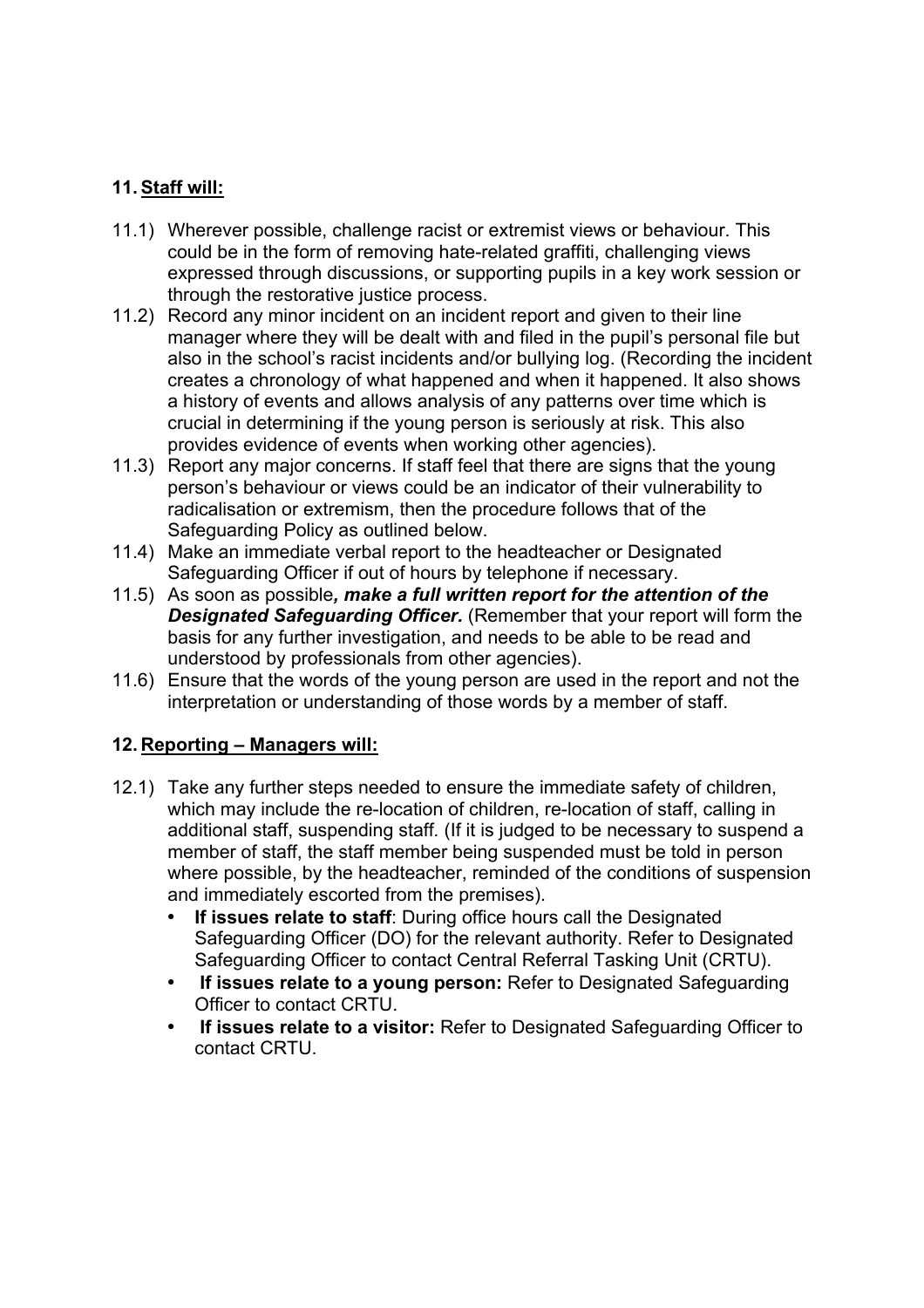## **11. Staff will:**

- 11.1) Wherever possible, challenge racist or extremist views or behaviour. This could be in the form of removing hate-related graffiti, challenging views expressed through discussions, or supporting pupils in a key work session or through the restorative justice process.
- 11.2) Record any minor incident on an incident report and given to their line manager where they will be dealt with and filed in the pupil's personal file but also in the school's racist incidents and/or bullying log. (Recording the incident creates a chronology of what happened and when it happened. It also shows a history of events and allows analysis of any patterns over time which is crucial in determining if the young person is seriously at risk. This also provides evidence of events when working other agencies).
- 11.3) Report any major concerns. If staff feel that there are signs that the young person's behaviour or views could be an indicator of their vulnerability to radicalisation or extremism, then the procedure follows that of the Safeguarding Policy as outlined below.
- 11.4) Make an immediate verbal report to the headteacher or Designated Safeguarding Officer if out of hours by telephone if necessary.
- 11.5) As soon as possible*, make a full written report for the attention of the*  **Designated Safeguarding Officer.** (Remember that your report will form the basis for any further investigation, and needs to be able to be read and understood by professionals from other agencies).
- 11.6) Ensure that the words of the young person are used in the report and not the interpretation or understanding of those words by a member of staff.

## **12. Reporting – Managers will:**

- 12.1) Take any further steps needed to ensure the immediate safety of children, which may include the re-location of children, re-location of staff, calling in additional staff, suspending staff*.* (If it is judged to be necessary to suspend a member of staff, the staff member being suspended must be told in person where possible, by the headteacher, reminded of the conditions of suspension and immediately escorted from the premises).
	- **If issues relate to staff**: During office hours call the Designated Safeguarding Officer (DO) for the relevant authority. Refer to Designated Safeguarding Officer to contact Central Referral Tasking Unit (CRTU).
	- **If issues relate to a young person:** Refer to Designated Safeguarding Officer to contact CRTU.
	- **If issues relate to a visitor:** Refer to Designated Safeguarding Officer to contact CRTU.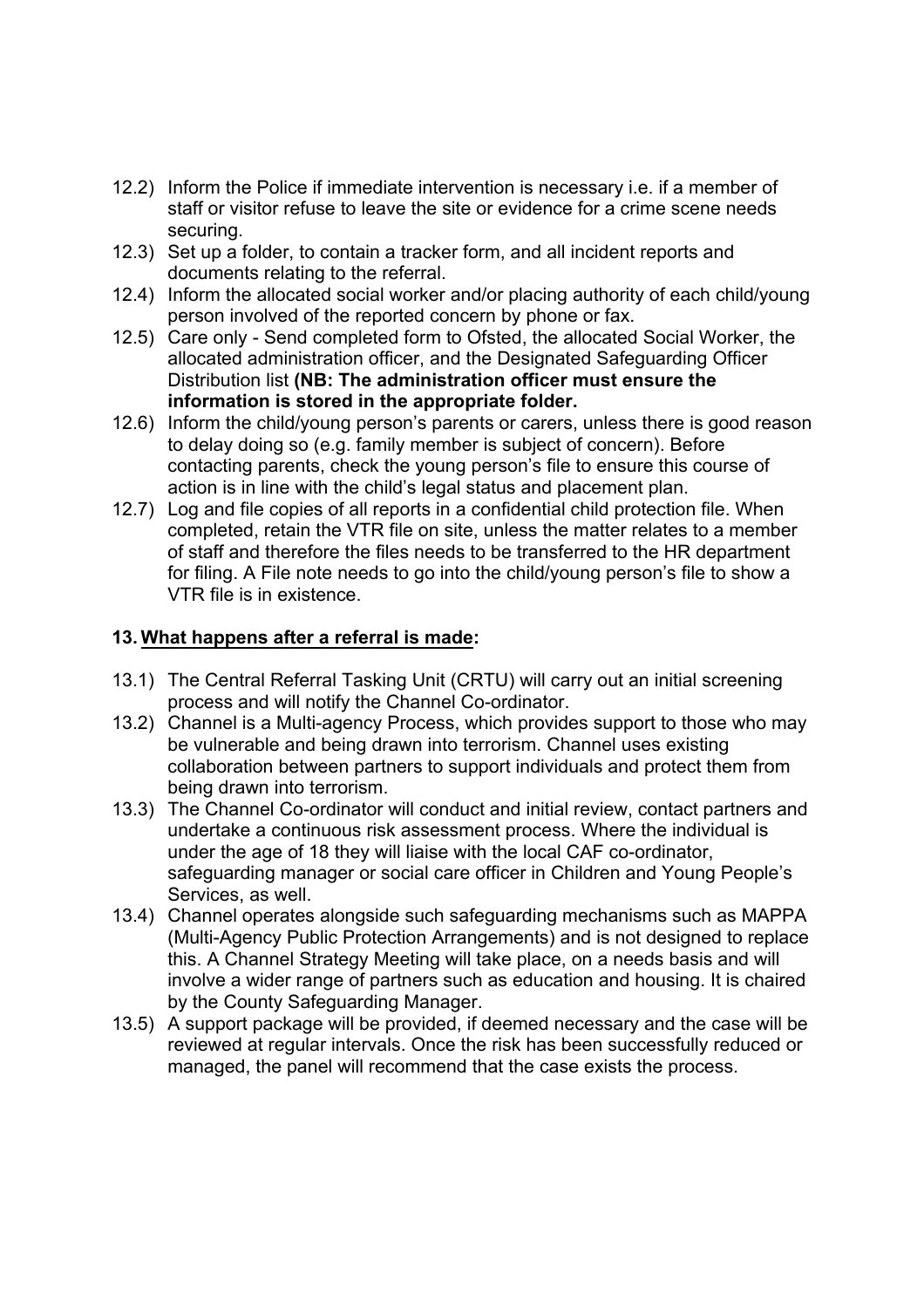- 12.2) Inform the Police if immediate intervention is necessary i.e. if a member of staff or visitor refuse to leave the site or evidence for a crime scene needs securing.
- 12.3) Set up a folder, to contain a tracker form, and all incident reports and documents relating to the referral.
- 12.4) Inform the allocated social worker and/or placing authority of each child/young person involved of the reported concern by phone or fax.
- 12.5) Care only Send completed form to Ofsted, the allocated Social Worker, the allocated administration officer, and the Designated Safeguarding Officer Distribution list **(NB: The administration officer must ensure the information is stored in the appropriate folder.**
- 12.6) Inform the child/young person's parents or carers, unless there is good reason to delay doing so (e.g. family member is subject of concern). Before contacting parents, check the young person's file to ensure this course of action is in line with the child's legal status and placement plan.
- 12.7) Log and file copies of all reports in a confidential child protection file. When completed, retain the VTR file on site, unless the matter relates to a member of staff and therefore the files needs to be transferred to the HR department for filing. A File note needs to go into the child/young person's file to show a VTR file is in existence.

#### **13. What happens after a referral is made:**

- 13.1) The Central Referral Tasking Unit (CRTU) will carry out an initial screening process and will notify the Channel Co-ordinator.
- 13.2) Channel is a Multi-agency Process, which provides support to those who may be vulnerable and being drawn into terrorism. Channel uses existing collaboration between partners to support individuals and protect them from being drawn into terrorism.
- 13.3) The Channel Co-ordinator will conduct and initial review, contact partners and undertake a continuous risk assessment process. Where the individual is under the age of 18 they will liaise with the local CAF co-ordinator, safeguarding manager or social care officer in Children and Young People's Services, as well.
- 13.4) Channel operates alongside such safeguarding mechanisms such as MAPPA (Multi-Agency Public Protection Arrangements) and is not designed to replace this. A Channel Strategy Meeting will take place, on a needs basis and will involve a wider range of partners such as education and housing. It is chaired by the County Safeguarding Manager.
- 13.5) A support package will be provided, if deemed necessary and the case will be reviewed at regular intervals. Once the risk has been successfully reduced or managed, the panel will recommend that the case exists the process.